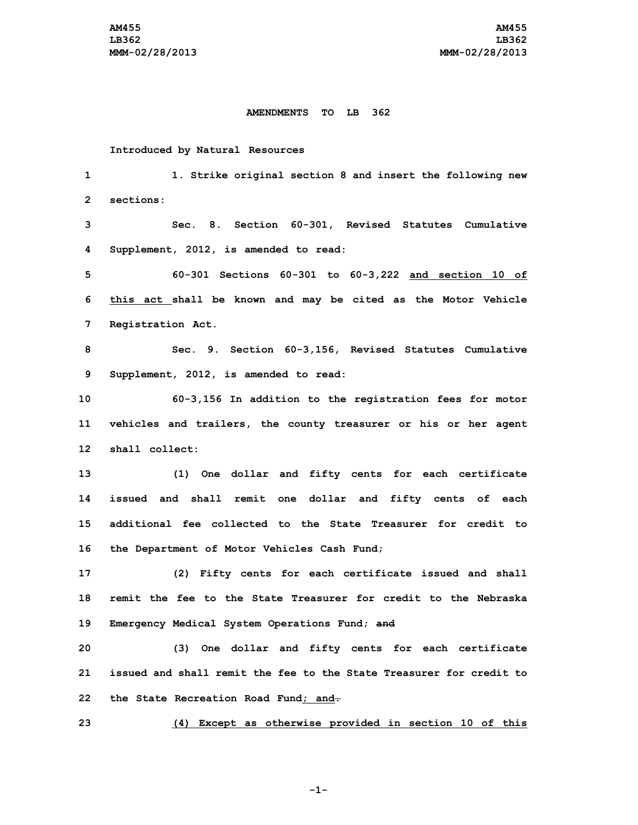## **AMENDMENTS TO LB 362**

## **Introduced by Natural Resources**

 **1. Strike original section 8 and insert the following new sections: Sec. 8. Section 60-301, Revised Statutes Cumulative Supplement, 2012, is amended to read: 60-301 Sections 60-301 to 60-3,222 and section 10 of this act shall be known and may be cited as the Motor Vehicle Registration Act. Sec. 9. Section 60-3,156, Revised Statutes Cumulative Supplement, 2012, is amended to read: 60-3,156 In addition to the registration fees for motor vehicles and trailers, the county treasurer or his or her agent shall collect: (1) One dollar and fifty cents for each certificate issued and shall remit one dollar and fifty cents of each additional fee collected to the State Treasurer for credit to the Department of Motor Vehicles Cash Fund; (2) Fifty cents for each certificate issued and shall remit the fee to the State Treasurer for credit to the Nebraska Emergency Medical System Operations Fund; and (3) One dollar and fifty cents for each certificate issued and shall remit the fee to the State Treasurer for credit to the State Recreation Road Fund; and. (4) Except as otherwise provided in section 10 of this**

**-1-**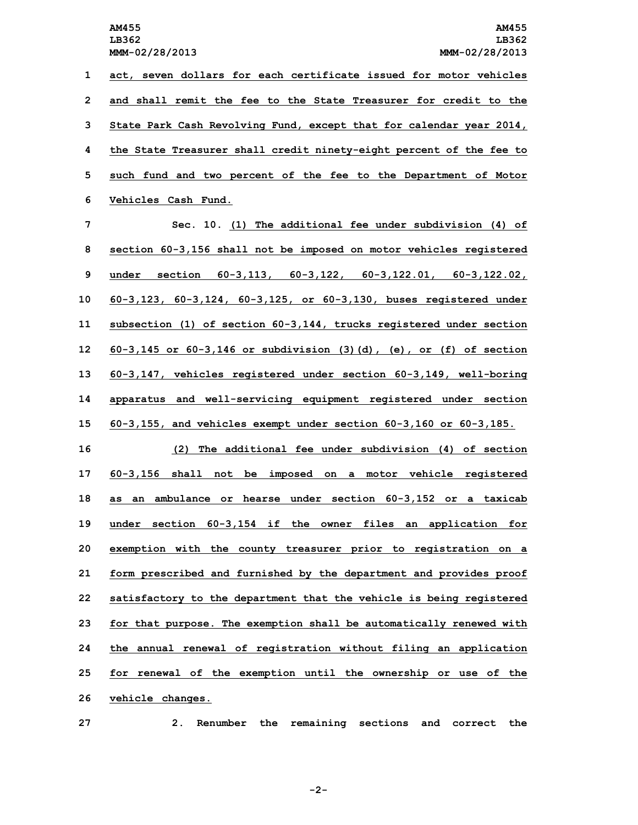**act, seven dollars for each certificate issued for motor vehicles and shall remit the fee to the State Treasurer for credit to the State Park Cash Revolving Fund, except that for calendar year 2014, the State Treasurer shall credit ninety-eight percent of the fee to such fund and two percent of the fee to the Department of Motor Vehicles Cash Fund.**

 **Sec. 10. (1) The additional fee under subdivision (4) of section 60-3,156 shall not be imposed on motor vehicles registered under section 60-3,113, 60-3,122, 60-3,122.01, 60-3,122.02, 60-3,123, 60-3,124, 60-3,125, or 60-3,130, buses registered under subsection (1) of section 60-3,144, trucks registered under section 60-3,145 or 60-3,146 or subdivision (3)(d), (e), or (f) of section 60-3,147, vehicles registered under section 60-3,149, well-boring apparatus and well-servicing equipment registered under section 60-3,155, and vehicles exempt under section 60-3,160 or 60-3,185.**

 **(2) The additional fee under subdivision (4) of section 60-3,156 shall not be imposed on <sup>a</sup> motor vehicle registered as an ambulance or hearse under section 60-3,152 or <sup>a</sup> taxicab under section 60-3,154 if the owner files an application for exemption with the county treasurer prior to registration on <sup>a</sup> form prescribed and furnished by the department and provides proof satisfactory to the department that the vehicle is being registered for that purpose. The exemption shall be automatically renewed with the annual renewal of registration without filing an application for renewal of the exemption until the ownership or use of the vehicle changes.**

**27 2. Renumber the remaining sections and correct the**

**-2-**